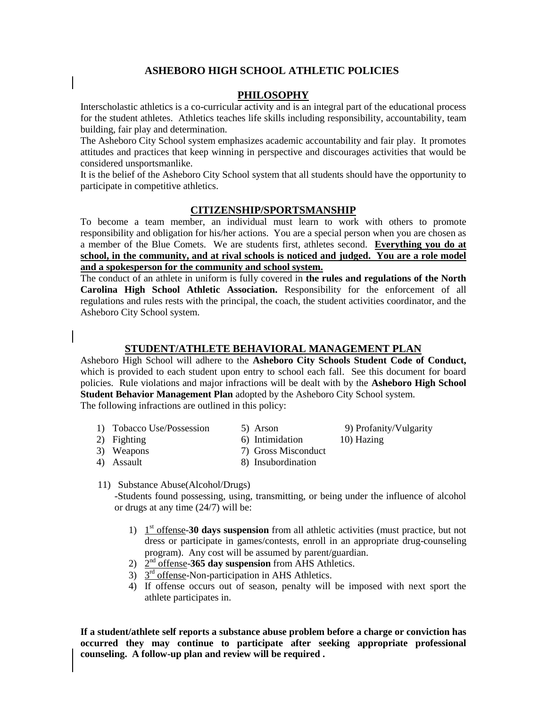# **ASHEBORO HIGH SCHOOL ATHLETIC POLICIES**

## **PHILOSOPHY**

Interscholastic athletics is a co-curricular activity and is an integral part of the educational process for the student athletes. Athletics teaches life skills including responsibility, accountability, team building, fair play and determination.

The Asheboro City School system emphasizes academic accountability and fair play. It promotes attitudes and practices that keep winning in perspective and discourages activities that would be considered unsportsmanlike.

It is the belief of the Asheboro City School system that all students should have the opportunity to participate in competitive athletics.

### **CITIZENSHIP/SPORTSMANSHIP**

To become a team member, an individual must learn to work with others to promote responsibility and obligation for his/her actions. You are a special person when you are chosen as a member of the Blue Comets. We are students first, athletes second. **Everything you do at school, in the community, and at rival schools is noticed and judged. You are a role model and a spokesperson for the community and school system.**

The conduct of an athlete in uniform is fully covered in **the rules and regulations of the North Carolina High School Athletic Association.** Responsibility for the enforcement of all regulations and rules rests with the principal, the coach, the student activities coordinator, and the Asheboro City School system.

## **STUDENT/ATHLETE BEHAVIORAL MANAGEMENT PLAN**

Asheboro High School will adhere to the **Asheboro City Schools Student Code of Conduct,** which is provided to each student upon entry to school each fall. See this document for board policies. Rule violations and major infractions will be dealt with by the **Asheboro High School Student Behavior Management Plan** adopted by the Asheboro City School system. The following infractions are outlined in this policy:

- 1) Tobacco Use/Possession 5) Arson 9) Profanity/Vulgarity
- 2) Fighting 6) Intimidation 10) Hazing 3) Weapons 7) Gross Misconduct
- 
- 
- 
- 
- 3) Weapons 7) Gross Misconduct<br>
4) Assault 8) Insubordination
	-
- 8) Insubordination
- 11) Substance Abuse(Alcohol/Drugs)

-Students found possessing, using, transmitting, or being under the influence of alcohol or drugs at any time (24/7) will be:

- 1) 1<sup>st</sup> offense-30 days suspension from all athletic activities (must practice, but not dress or participate in games/contests, enroll in an appropriate drug-counseling program). Any cost will be assumed by parent/guardian.
- 2)  $2^{\text{nd}}$  offense-365 day suspension from AHS Athletics.
- 3)  $3^{\text{rd}}$  offense-Non-participation in AHS Athletics.
- 4) If offense occurs out of season, penalty will be imposed with next sport the athlete participates in.

**If a student/athlete self reports a substance abuse problem before a charge or conviction has occurred they may continue to participate after seeking appropriate professional counseling. A follow-up plan and review will be required .**